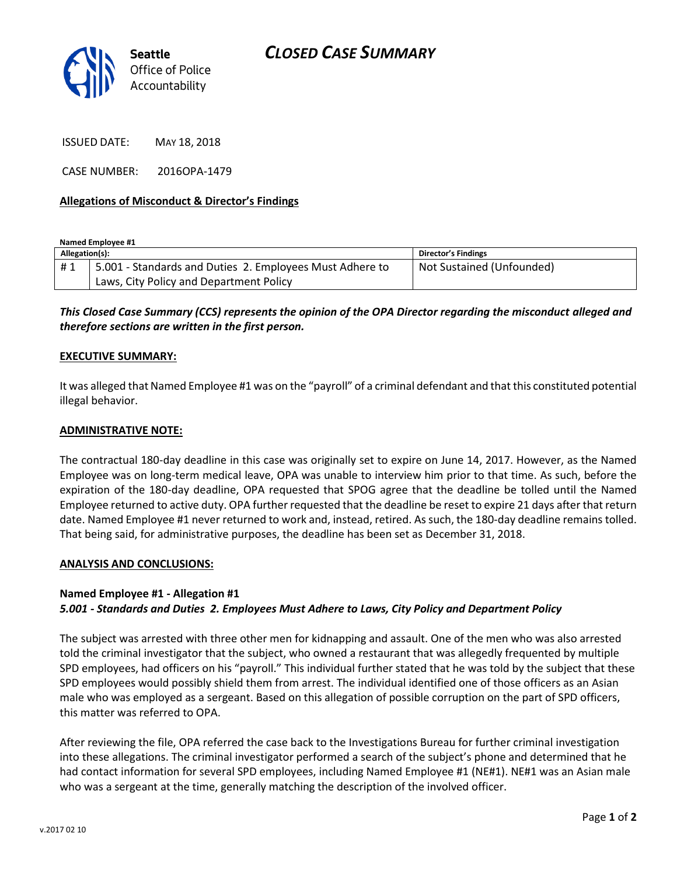

ISSUED DATE: MAY 18, 2018

CASE NUMBER: 2016OPA-1479

### **Allegations of Misconduct & Director's Findings**

**Named Employee #1**

| Allegation(s): |                                                          | <b>Director's Findings</b> |
|----------------|----------------------------------------------------------|----------------------------|
| #1             | 5.001 - Standards and Duties 2. Employees Must Adhere to | Not Sustained (Unfounded)  |
|                | Laws, City Policy and Department Policy                  |                            |

*This Closed Case Summary (CCS) represents the opinion of the OPA Director regarding the misconduct alleged and therefore sections are written in the first person.* 

#### **EXECUTIVE SUMMARY:**

It was alleged that Named Employee #1 was on the "payroll" of a criminal defendant and that this constituted potential illegal behavior.

#### **ADMINISTRATIVE NOTE:**

The contractual 180-day deadline in this case was originally set to expire on June 14, 2017. However, as the Named Employee was on long-term medical leave, OPA was unable to interview him prior to that time. As such, before the expiration of the 180-day deadline, OPA requested that SPOG agree that the deadline be tolled until the Named Employee returned to active duty. OPA further requested that the deadline be reset to expire 21 days after that return date. Named Employee #1 never returned to work and, instead, retired. As such, the 180-day deadline remains tolled. That being said, for administrative purposes, the deadline has been set as December 31, 2018.

#### **ANALYSIS AND CONCLUSIONS:**

#### **Named Employee #1 - Allegation #1**

#### *5.001 - Standards and Duties 2. Employees Must Adhere to Laws, City Policy and Department Policy*

The subject was arrested with three other men for kidnapping and assault. One of the men who was also arrested told the criminal investigator that the subject, who owned a restaurant that was allegedly frequented by multiple SPD employees, had officers on his "payroll." This individual further stated that he was told by the subject that these SPD employees would possibly shield them from arrest. The individual identified one of those officers as an Asian male who was employed as a sergeant. Based on this allegation of possible corruption on the part of SPD officers, this matter was referred to OPA.

After reviewing the file, OPA referred the case back to the Investigations Bureau for further criminal investigation into these allegations. The criminal investigator performed a search of the subject's phone and determined that he had contact information for several SPD employees, including Named Employee #1 (NE#1). NE#1 was an Asian male who was a sergeant at the time, generally matching the description of the involved officer.